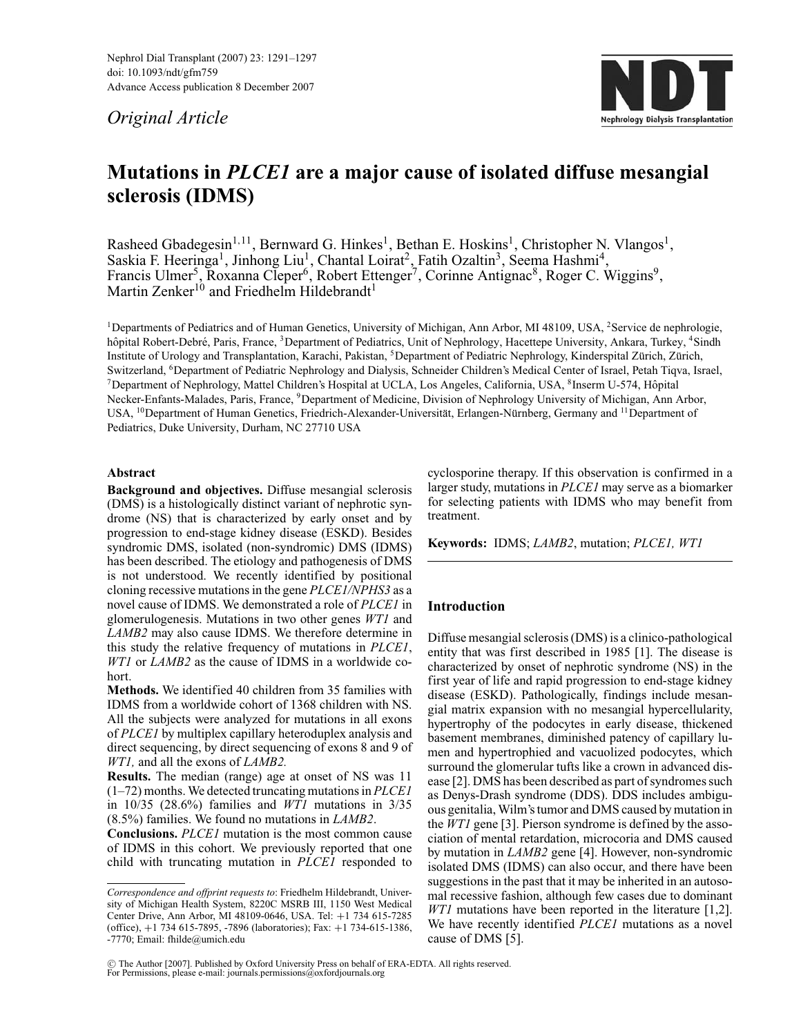Nephrol Dial Transplant (2007) 23: 1291–1297 doi: 10.1093/ndt/gfm759 Advance Access publication 8 December 2007

*Original Article*



# **Mutations in** *PLCE1* **are a major cause of isolated diffuse mesangial sclerosis (IDMS)**

Rasheed Gbadegesin<sup>1,11</sup>, Bernward G. Hinkes<sup>1</sup>, Bethan E. Hoskins<sup>1</sup>, Christopher N. Vlangos<sup>1</sup>, Saskia F. Heeringa<sup>1</sup>, Jinhong Liu<sup>1</sup>, Chantal Loirat<sup>2</sup>, Fatih Ozaltin<sup>3</sup>, Seema Hashmi<sup>4</sup>, Francis Ulmer<sup>5</sup>, Roxanna Cleper<sup>6</sup>, Robert Ettenger<sup>7</sup>, Corinne Antignac<sup>8</sup>, Roger C. Wiggins<sup>9</sup>, Martin Zenker<sup>10</sup> and Friedhelm Hildebrandt<sup>1</sup>

<sup>1</sup>Departments of Pediatrics and of Human Genetics, University of Michigan, Ann Arbor, MI 48109, USA, <sup>2</sup>Service de nephrologie, hôpital Robert-Debré, Paris, France, <sup>3</sup>Department of Pediatrics, Unit of Nephrology, Hacettepe University, Ankara, Turkey, <sup>4</sup>Sindh Institute of Urology and Transplantation, Karachi, Pakistan, <sup>5</sup>Department of Pediatric Nephrology, Kinderspital Zürich, Zürich, Switzerland, <sup>6</sup>Department of Pediatric Nephrology and Dialysis, Schneider Children's Medical Center of Israel, Petah Tiqva, Israel, 7Department of Nephrology, Mattel Children's Hospital at UCLA, Los Angeles, California, USA, 8Inserm U-574, Hopital ˆ Necker-Enfants-Malades, Paris, France, 9Department of Medicine, Division of Nephrology University of Michigan, Ann Arbor, USA, <sup>10</sup>Department of Human Genetics, Friedrich-Alexander-Universität, Erlangen-Nürnberg, Germany and <sup>11</sup>Department of Pediatrics, Duke University, Durham, NC 27710 USA

## **Abstract**

**Background and objectives.** Diffuse mesangial sclerosis (DMS) is a histologically distinct variant of nephrotic syndrome (NS) that is characterized by early onset and by progression to end-stage kidney disease (ESKD). Besides syndromic DMS, isolated (non-syndromic) DMS (IDMS) has been described. The etiology and pathogenesis of DMS is not understood. We recently identified by positional cloning recessive mutations in the gene *PLCE1/NPHS3* as a novel cause of IDMS. We demonstrated a role of *PLCE1* in glomerulogenesis. Mutations in two other genes *WT1* and *LAMB2* may also cause IDMS. We therefore determine in this study the relative frequency of mutations in *PLCE1*, *WT1* or *LAMB2* as the cause of IDMS in a worldwide cohort.

**Methods.** We identified 40 children from 35 families with IDMS from a worldwide cohort of 1368 children with NS. All the subjects were analyzed for mutations in all exons of *PLCE1* by multiplex capillary heteroduplex analysis and direct sequencing, by direct sequencing of exons 8 and 9 of *WT1,* and all the exons of *LAMB2.*

**Results.** The median (range) age at onset of NS was 11 (1–72) months. We detected truncating mutations in *PLCE1* in 10/35 (28.6%) families and *WT1* mutations in 3/35 (8.5%) families. We found no mutations in *LAMB2*.

**Conclusions.** *PLCE1* mutation is the most common cause of IDMS in this cohort. We previously reported that one child with truncating mutation in *PLCE1* responded to cyclosporine therapy. If this observation is confirmed in a larger study, mutations in *PLCE1* may serve as a biomarker for selecting patients with IDMS who may benefit from treatment.

**Keywords:** IDMS; *LAMB2*, mutation; *PLCE1, WT1*

# **Introduction**

Diffuse mesangial sclerosis (DMS) is a clinico-pathological entity that was first described in 1985 [1]. The disease is characterized by onset of nephrotic syndrome (NS) in the first year of life and rapid progression to end-stage kidney disease (ESKD). Pathologically, findings include mesangial matrix expansion with no mesangial hypercellularity, hypertrophy of the podocytes in early disease, thickened basement membranes, diminished patency of capillary lumen and hypertrophied and vacuolized podocytes, which surround the glomerular tufts like a crown in advanced disease [2]. DMS has been described as part of syndromes such as Denys-Drash syndrome (DDS). DDS includes ambiguous genitalia, Wilm's tumor and DMS caused by mutation in the *WT1* gene [3]. Pierson syndrome is defined by the association of mental retardation, microcoria and DMS caused by mutation in *LAMB2* gene [4]. However, non-syndromic isolated DMS (IDMS) can also occur, and there have been suggestions in the past that it may be inherited in an autosomal recessive fashion, although few cases due to dominant *WT1* mutations have been reported in the literature [1,2]. We have recently identified *PLCE1* mutations as a novel cause of DMS [5].

*Correspondence and offprint requests to*: Friedhelm Hildebrandt, University of Michigan Health System, 8220C MSRB III, 1150 West Medical Center Drive, Ann Arbor, MI 48109-0646, USA. Tel: +1 734 615-7285 (office), +1 734 615-7895, -7896 (laboratories); Fax: +1 734-615-1386, -7770; Email: fhilde@umich.edu

<sup>C</sup> The Author [2007]. Published by Oxford University Press on behalf of ERA-EDTA. All rights reserved. For Permissions, please e-mail: journals.permissions@oxfordjournals.org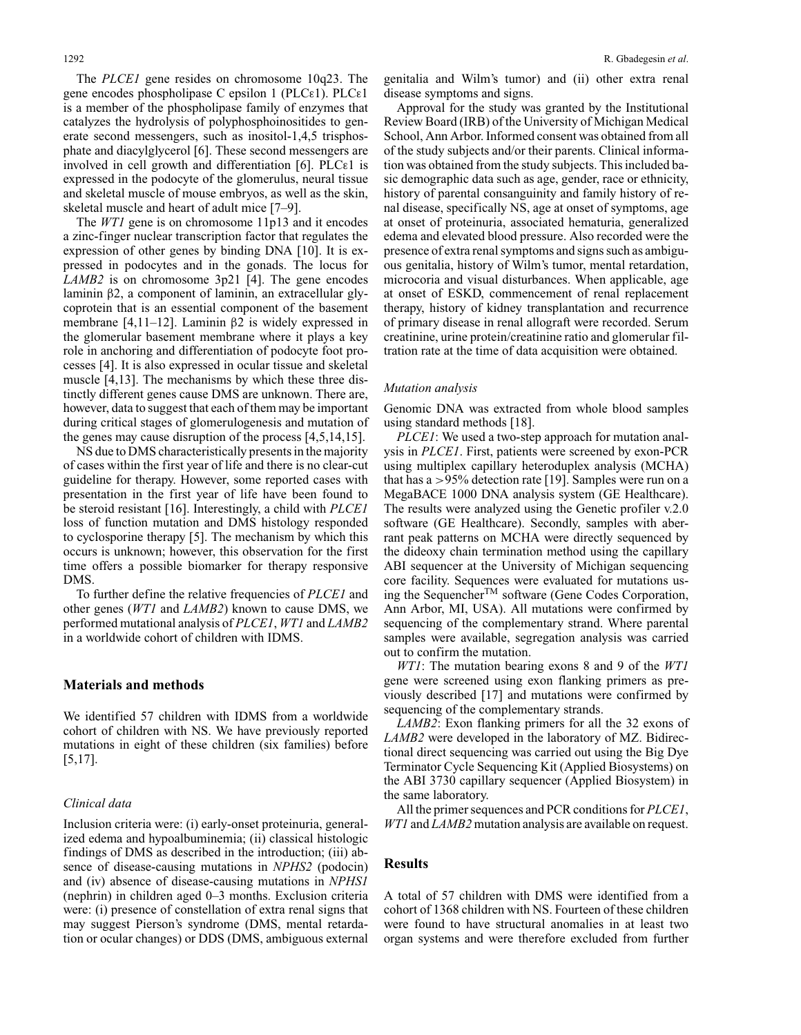The *PLCE1* gene resides on chromosome 10q23. The gene encodes phospholipase C epsilon 1 (PLCε1). PLCε1 is a member of the phospholipase family of enzymes that catalyzes the hydrolysis of polyphosphoinositides to generate second messengers, such as inositol-1,4,5 trisphosphate and diacylglycerol [6]. These second messengers are involved in cell growth and differentiation [6]. PLCε1 is expressed in the podocyte of the glomerulus, neural tissue and skeletal muscle of mouse embryos, as well as the skin, skeletal muscle and heart of adult mice [7–9].

The *WT1* gene is on chromosome 11p13 and it encodes a zinc-finger nuclear transcription factor that regulates the expression of other genes by binding DNA [10]. It is expressed in podocytes and in the gonads. The locus for *LAMB2* is on chromosome 3p21 [4]. The gene encodes laminin β2, a component of laminin, an extracellular glycoprotein that is an essential component of the basement membrane [4,11–12]. Laminin β2 is widely expressed in the glomerular basement membrane where it plays a key role in anchoring and differentiation of podocyte foot processes [4]. It is also expressed in ocular tissue and skeletal muscle [4,13]. The mechanisms by which these three distinctly different genes cause DMS are unknown. There are, however, data to suggest that each of them may be important during critical stages of glomerulogenesis and mutation of the genes may cause disruption of the process [4,5,14,15].

NS due to DMS characteristically presents in the majority of cases within the first year of life and there is no clear-cut guideline for therapy. However, some reported cases with presentation in the first year of life have been found to be steroid resistant [16]. Interestingly, a child with *PLCE1* loss of function mutation and DMS histology responded to cyclosporine therapy [5]. The mechanism by which this occurs is unknown; however, this observation for the first time offers a possible biomarker for therapy responsive DMS.

To further define the relative frequencies of *PLCE1* and other genes (*WT1* and *LAMB2*) known to cause DMS, we performed mutational analysis of *PLCE1*, *WT1* and *LAMB2* in a worldwide cohort of children with IDMS.

### **Materials and methods**

We identified 57 children with IDMS from a worldwide cohort of children with NS. We have previously reported mutations in eight of these children (six families) before [5,17].

#### *Clinical data*

Inclusion criteria were: (i) early-onset proteinuria, generalized edema and hypoalbuminemia; (ii) classical histologic findings of DMS as described in the introduction; (iii) absence of disease-causing mutations in *NPHS2* (podocin) and (iv) absence of disease-causing mutations in *NPHS1* (nephrin) in children aged 0–3 months. Exclusion criteria were: (i) presence of constellation of extra renal signs that may suggest Pierson's syndrome (DMS, mental retardation or ocular changes) or DDS (DMS, ambiguous external genitalia and Wilm's tumor) and (ii) other extra renal disease symptoms and signs.

Approval for the study was granted by the Institutional Review Board (IRB) of the University of Michigan Medical School, Ann Arbor. Informed consent was obtained from all of the study subjects and/or their parents. Clinical information was obtained from the study subjects. This included basic demographic data such as age, gender, race or ethnicity, history of parental consanguinity and family history of renal disease, specifically NS, age at onset of symptoms, age at onset of proteinuria, associated hematuria, generalized edema and elevated blood pressure. Also recorded were the presence of extra renal symptoms and signs such as ambiguous genitalia, history of Wilm's tumor, mental retardation, microcoria and visual disturbances. When applicable, age at onset of ESKD, commencement of renal replacement therapy, history of kidney transplantation and recurrence of primary disease in renal allograft were recorded. Serum creatinine, urine protein/creatinine ratio and glomerular filtration rate at the time of data acquisition were obtained.

#### *Mutation analysis*

Genomic DNA was extracted from whole blood samples using standard methods [18].

*PLCE1*: We used a two-step approach for mutation analysis in *PLCE1*. First, patients were screened by exon-PCR using multiplex capillary heteroduplex analysis (MCHA) that has a >95% detection rate [19]. Samples were run on a MegaBACE 1000 DNA analysis system (GE Healthcare). The results were analyzed using the Genetic profiler v.2.0 software (GE Healthcare). Secondly, samples with aberrant peak patterns on MCHA were directly sequenced by the dideoxy chain termination method using the capillary ABI sequencer at the University of Michigan sequencing core facility. Sequences were evaluated for mutations using the SequencherTM software (Gene Codes Corporation, Ann Arbor, MI, USA). All mutations were confirmed by sequencing of the complementary strand. Where parental samples were available, segregation analysis was carried out to confirm the mutation.

*WT1*: The mutation bearing exons 8 and 9 of the *WT1* gene were screened using exon flanking primers as previously described [17] and mutations were confirmed by sequencing of the complementary strands.

*LAMB2*: Exon flanking primers for all the 32 exons of *LAMB2* were developed in the laboratory of MZ. Bidirectional direct sequencing was carried out using the Big Dye Terminator Cycle Sequencing Kit (Applied Biosystems) on the ABI 3730 capillary sequencer (Applied Biosystem) in the same laboratory.

All the primer sequences and PCR conditions for *PLCE1*, *WT1* and *LAMB2* mutation analysis are available on request.

## **Results**

A total of 57 children with DMS were identified from a cohort of 1368 children with NS. Fourteen of these children were found to have structural anomalies in at least two organ systems and were therefore excluded from further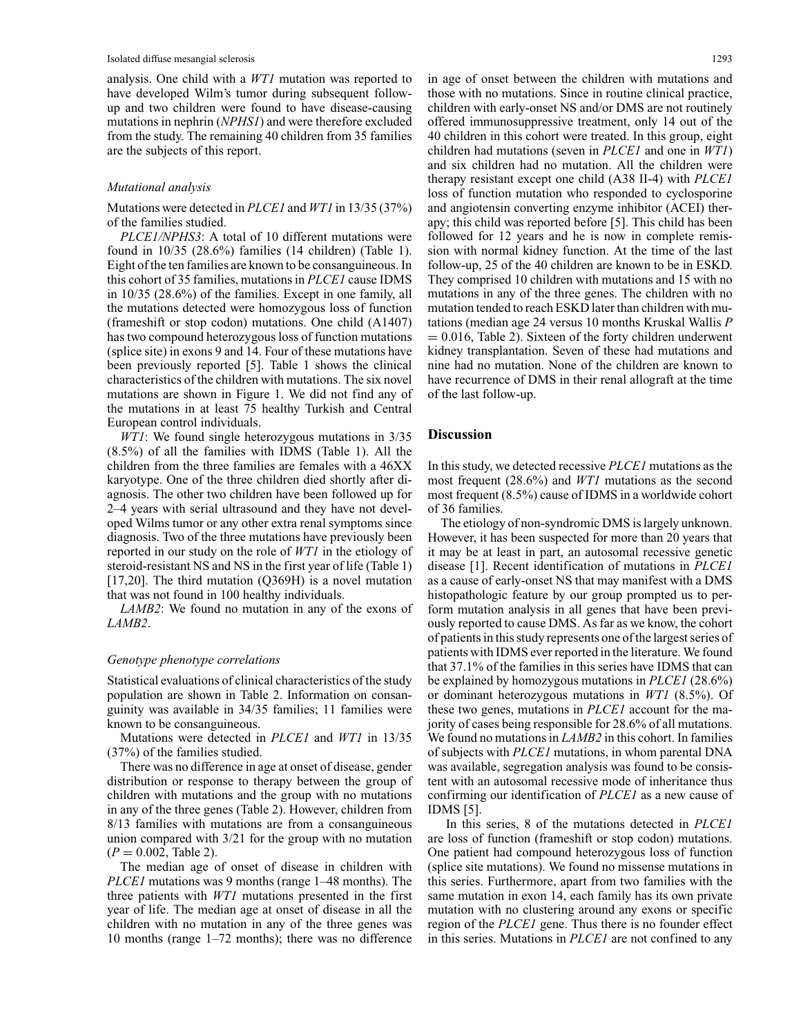analysis. One child with a *WT1* mutation was reported to have developed Wilm's tumor during subsequent followup and two children were found to have disease-causing mutations in nephrin (*NPHS1*) and were therefore excluded from the study. The remaining 40 children from 35 families are the subjects of this report.

## *Mutational analysis*

Mutations were detected in *PLCE1* and *WT1* in 13/35 (37%) of the families studied.

*PLCE1/NPHS3*: A total of 10 different mutations were found in 10/35 (28.6%) families (14 children) (Table 1). Eight of the ten families are known to be consanguineous. In this cohort of 35 families, mutations in *PLCE1* cause IDMS in 10/35 (28.6%) of the families. Except in one family, all the mutations detected were homozygous loss of function (frameshift or stop codon) mutations. One child (A1407) has two compound heterozygous loss of function mutations (splice site) in exons 9 and 14. Four of these mutations have been previously reported [5]. Table 1 shows the clinical characteristics of the children with mutations. The six novel mutations are shown in Figure 1. We did not find any of the mutations in at least 75 healthy Turkish and Central European control individuals.

*WT1*: We found single heterozygous mutations in 3/35 (8.5%) of all the families with IDMS (Table 1). All the children from the three families are females with a 46XX karyotype. One of the three children died shortly after diagnosis. The other two children have been followed up for 2–4 years with serial ultrasound and they have not developed Wilms tumor or any other extra renal symptoms since diagnosis. Two of the three mutations have previously been reported in our study on the role of *WT1* in the etiology of steroid-resistant NS and NS in the first year of life (Table 1) [17,20]. The third mutation  $(Q369H)$  is a novel mutation that was not found in 100 healthy individuals.

*LAMB2*: We found no mutation in any of the exons of *LAMB2*.

#### *Genotype phenotype correlations*

Statistical evaluations of clinical characteristics of the study population are shown in Table 2. Information on consanguinity was available in 34/35 families; 11 families were known to be consanguineous.

Mutations were detected in *PLCE1* and *WT1* in 13/35 (37%) of the families studied.

There was no difference in age at onset of disease, gender distribution or response to therapy between the group of children with mutations and the group with no mutations in any of the three genes (Table 2). However, children from 8/13 families with mutations are from a consanguineous union compared with 3/21 for the group with no mutation  $(P = 0.002,$  Table 2).

The median age of onset of disease in children with *PLCE1* mutations was 9 months (range 1–48 months). The three patients with *WT1* mutations presented in the first year of life. The median age at onset of disease in all the children with no mutation in any of the three genes was 10 months (range 1–72 months); there was no difference

in age of onset between the children with mutations and those with no mutations. Since in routine clinical practice, children with early-onset NS and/or DMS are not routinely offered immunosuppressive treatment, only 14 out of the 40 children in this cohort were treated. In this group, eight children had mutations (seven in *PLCE1* and one in *WT1*) and six children had no mutation. All the children were therapy resistant except one child (A38 II-4) with *PLCE1* loss of function mutation who responded to cyclosporine and angiotensin converting enzyme inhibitor (ACEI) therapy; this child was reported before [5]. This child has been followed for 12 years and he is now in complete remission with normal kidney function. At the time of the last follow-up, 25 of the 40 children are known to be in ESKD. They comprised 10 children with mutations and 15 with no mutations in any of the three genes. The children with no mutation tended to reach ESKD later than children with mutations (median age 24 versus 10 months Kruskal Wallis *P*  $= 0.016$ , Table 2). Sixteen of the forty children underwent kidney transplantation. Seven of these had mutations and nine had no mutation. None of the children are known to have recurrence of DMS in their renal allograft at the time of the last follow-up.

## **Discussion**

In this study, we detected recessive *PLCE1* mutations as the most frequent (28.6%) and *WT1* mutations as the second most frequent (8.5%) cause of IDMS in a worldwide cohort of 36 families.

The etiology of non-syndromic DMS is largely unknown. However, it has been suspected for more than 20 years that it may be at least in part, an autosomal recessive genetic disease [1]. Recent identification of mutations in *PLCE1* as a cause of early-onset NS that may manifest with a DMS histopathologic feature by our group prompted us to perform mutation analysis in all genes that have been previously reported to cause DMS. As far as we know, the cohort of patients in this study represents one of the largest series of patients with IDMS ever reported in the literature. We found that 37.1% of the families in this series have IDMS that can be explained by homozygous mutations in *PLCE1* (28.6%) or dominant heterozygous mutations in *WT1* (8.5%). Of these two genes, mutations in *PLCE1* account for the majority of cases being responsible for 28.6% of all mutations. We found no mutations in *LAMB2* in this cohort. In families of subjects with *PLCE1* mutations, in whom parental DNA was available, segregation analysis was found to be consistent with an autosomal recessive mode of inheritance thus confirming our identification of *PLCE1* as a new cause of IDMS [5].

In this series, 8 of the mutations detected in *PLCE1* are loss of function (frameshift or stop codon) mutations. One patient had compound heterozygous loss of function (splice site mutations). We found no missense mutations in this series. Furthermore, apart from two families with the same mutation in exon 14, each family has its own private mutation with no clustering around any exons or specific region of the *PLCE1* gene. Thus there is no founder effect in this series. Mutations in *PLCE1* are not confined to any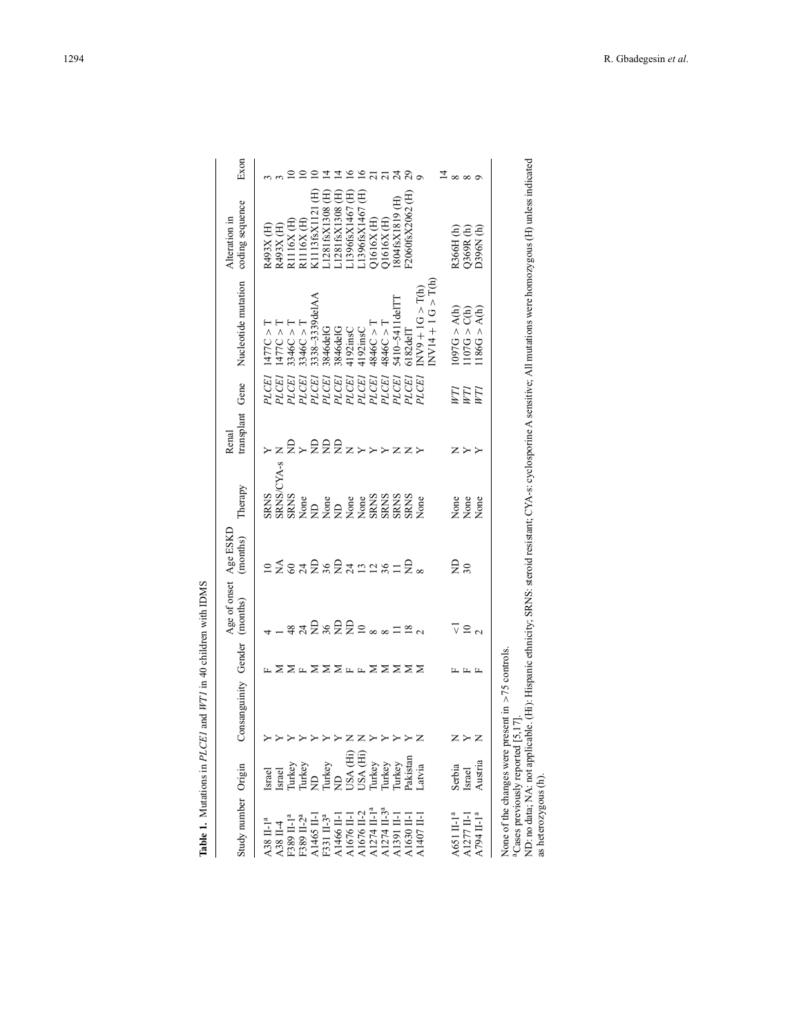| Study number Origin                                                                                                                      |                                          | Consanguinity Gender  |     | Age of onset Age ESKD<br>(months) | (months)        | Therapy              | transplant<br>Renal | Gene  | Nucleotide mutation            | coding sequence   | Exon                        |
|------------------------------------------------------------------------------------------------------------------------------------------|------------------------------------------|-----------------------|-----|-----------------------------------|-----------------|----------------------|---------------------|-------|--------------------------------|-------------------|-----------------------------|
| A38 II-1 <sup>a</sup>                                                                                                                    | Israel                                   |                       |     |                                   | $\overline{10}$ | <b>SRNS</b>          |                     | PLCEI | T < 777C                       | R493X (H)         |                             |
| A38 II-4                                                                                                                                 | Israel                                   |                       |     |                                   | $\leq$          | SRNS/CYA-s           | $\overline{z}$      | PLCEI | T < 777C                       | R493X (H)         |                             |
| F389 II-1 <sup>a</sup>                                                                                                                   |                                          |                       |     |                                   |                 | <b>SRNS</b>          |                     | PLCEI | 3346C > T                      | R1116X (H         |                             |
| F389 II-2 <sup>a</sup>                                                                                                                   | Turkey<br>Turkey<br>ND                   |                       |     | ឌុ ង ឨ ៷ ឨ ឨ ឨ ៓ ៓ ៓ ៓ ៓ ៓ ៓ ៓    | safsfangs=      | None                 | $2\times$ 222xxxxxx | PLCEI | 3346C > T                      | R1116X (H)        |                             |
|                                                                                                                                          |                                          |                       |     |                                   |                 | $\overline{z}$       |                     | PLCEI | 338-3339deIAA                  | K1113fsX1121      |                             |
| A1465 II-1<br>F331 II-3 <sup>a</sup>                                                                                                     | Turkey<br>ND                             |                       |     |                                   |                 | None                 |                     | PLCEI | 3846delG                       | €<br>L1281fsX1308 | 프                           |
| A1466 II-1                                                                                                                               |                                          |                       |     |                                   |                 | $\overline{z}$       |                     | PLCEI | 3846delG                       | L1281fsX1308 (H)  | 프                           |
| A1676 II-1                                                                                                                               | USA (Hi)<br>USA (Hi)<br>Turkey<br>Turkey | Z                     |     |                                   |                 |                      |                     | PLCEI | 4192insC                       | 1396fsX1467 (H)   | $\tilde{=}$                 |
|                                                                                                                                          |                                          |                       |     |                                   |                 |                      |                     | PLCEI | 4192insC                       | :1396fsX1467(H)   | $\tilde{=}$                 |
| $\begin{array}{c} \text{A}1676 \text{ II-2} \\ \text{A}1274 \text{ II-1}^{\text{a}} \\ \text{A}1274 \text{ II-3}^{\text{a}} \end{array}$ |                                          |                       |     |                                   |                 | None<br>None<br>SRNS |                     | PLCE1 | 4846C > T                      | $Q1616X$ $(H)$    | $\overline{c}$              |
|                                                                                                                                          |                                          |                       |     |                                   |                 | <b>SRNS</b>          |                     | PLCEI | 1846C > T                      | Q1616X(H)         |                             |
| A1391 II-1                                                                                                                               | Turkey                                   |                       |     |                                   |                 | <b>SRNS</b>          |                     | PLCEI | 5410-5411delTT                 | 804fsX1819 (H)    |                             |
| $\triangle 1630$ II-1                                                                                                                    | Pakistan                                 | $\blacktriangleright$ |     |                                   | £∞              | <b>SRNS</b>          |                     | PLCEI | 6182deIT                       | F2060fsX2062(H)   | 7320                        |
| A1407 II-1                                                                                                                               | Latvia                                   |                       |     |                                   |                 | None                 |                     | PLCEI | $NV9 + 1G > T(h)$              |                   |                             |
|                                                                                                                                          |                                          |                       |     |                                   |                 |                      |                     |       | $NVI4 + 1 G > T(h)$            |                   |                             |
|                                                                                                                                          |                                          |                       |     |                                   |                 |                      |                     |       |                                |                   |                             |
| A651 II-1 <sup>a</sup>                                                                                                                   | Serbia                                   | z                     |     | $\overline{\vee}$                 | £≈              | None                 |                     | F     | $(4)$ < 576                    | R366H(h)          | $\frac{1}{4} \times \infty$ |
|                                                                                                                                          | Israel                                   | $\blacktriangleright$ | шцы |                                   |                 |                      | スプン                 | F     |                                | Q369R(h)          |                             |
| $\begin{array}{c} \text{A}\,1277\,\text{II}\text{-}1 \\ \text{A}\,794\,\text{II}\text{-}1^{\,\text{a}} \end{array}$                      | Austria                                  | Z                     |     | $\frac{1}{2}$                     |                 | None<br>None         |                     | FI    | $1107G > C(h)$<br>1186G > A(h) | D396N(h)          |                             |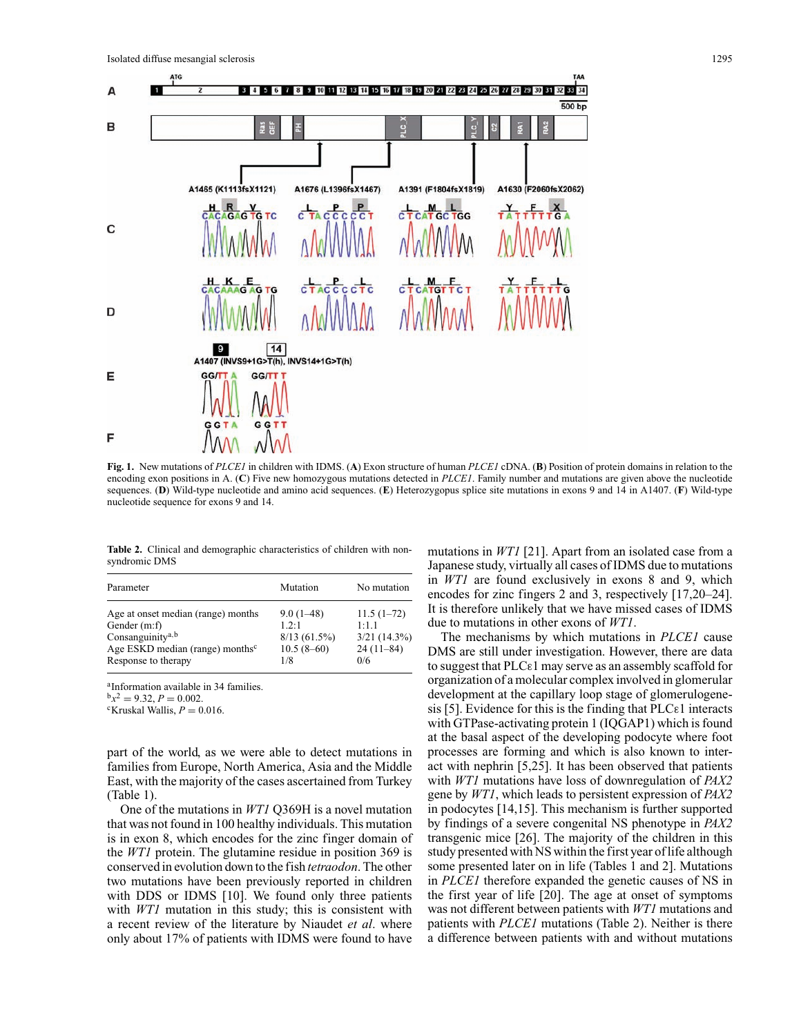

**Fig. 1.** New mutations of *PLCE1* in children with IDMS. (**A**) Exon structure of human *PLCE1* cDNA. (**B**) Position of protein domains in relation to the encoding exon positions in A. (**C**) Five new homozygous mutations detected in *PLCE1*. Family number and mutations are given above the nucleotide sequences. (**D**) Wild-type nucleotide and amino acid sequences. (**E**) Heterozygopus splice site mutations in exons 9 and 14 in A1407. (**F**) Wild-type nucleotide sequence for exons 9 and 14.

**Table 2.** Clinical and demographic characteristics of children with nonsyndromic DMS

| Parameter                                   | Mutation     | No mutation    |
|---------------------------------------------|--------------|----------------|
| Age at onset median (range) months          | $9.0(1-48)$  | $11.5(1-72)$   |
| Gender (m:f)                                | 12.1         | 1:11           |
| Consanguinity <sup>a, b</sup>               | 8/13(61.5%)  | $3/21$ (14.3%) |
| Age ESKD median (range) months <sup>c</sup> | $10.5(8-60)$ | $24(11-84)$    |
| Response to therapy                         | 1/8          | 0/6            |

<sup>a</sup>Information available in 34 families.<br> $b_x^2 = 9.32$ ,  $P = 0.002$ .

 ${}^{\text{c}}$ Kruskal Wallis,  $P = 0.016$ .

part of the world, as we were able to detect mutations in families from Europe, North America, Asia and the Middle East, with the majority of the cases ascertained from Turkey (Table 1).

One of the mutations in *WT1* Q369H is a novel mutation that was not found in 100 healthy individuals. This mutation is in exon 8, which encodes for the zinc finger domain of the *WT1* protein. The glutamine residue in position 369 is conserved in evolution down to the fish *tetraodon*. The other two mutations have been previously reported in children with DDS or IDMS [10]. We found only three patients with *WT1* mutation in this study; this is consistent with a recent review of the literature by Niaudet *et al*. where only about 17% of patients with IDMS were found to have

mutations in *WT1* [21]. Apart from an isolated case from a Japanese study, virtually all cases of IDMS due to mutations in *WT1* are found exclusively in exons 8 and 9, which encodes for zinc fingers 2 and 3, respectively [17,20–24]. It is therefore unlikely that we have missed cases of IDMS due to mutations in other exons of *WT1*.

The mechanisms by which mutations in *PLCE1* cause DMS are still under investigation. However, there are data to suggest that PLCε1 may serve as an assembly scaffold for organization of a molecular complex involved in glomerular development at the capillary loop stage of glomerulogenesis [5]. Evidence for this is the finding that  $PLC_{\epsilon}1$  interacts with GTPase-activating protein 1 (IQGAP1) which is found at the basal aspect of the developing podocyte where foot processes are forming and which is also known to interact with nephrin [5,25]. It has been observed that patients with *WT1* mutations have loss of downregulation of *PAX2* gene by *WT1*, which leads to persistent expression of *PAX2* in podocytes [14,15]. This mechanism is further supported by findings of a severe congenital NS phenotype in *PAX2* transgenic mice [26]. The majority of the children in this study presented with NS within the first year of life although some presented later on in life (Tables 1 and 2]. Mutations in *PLCE1* therefore expanded the genetic causes of NS in the first year of life [20]. The age at onset of symptoms was not different between patients with *WT1* mutations and patients with *PLCE1* mutations (Table 2). Neither is there a difference between patients with and without mutations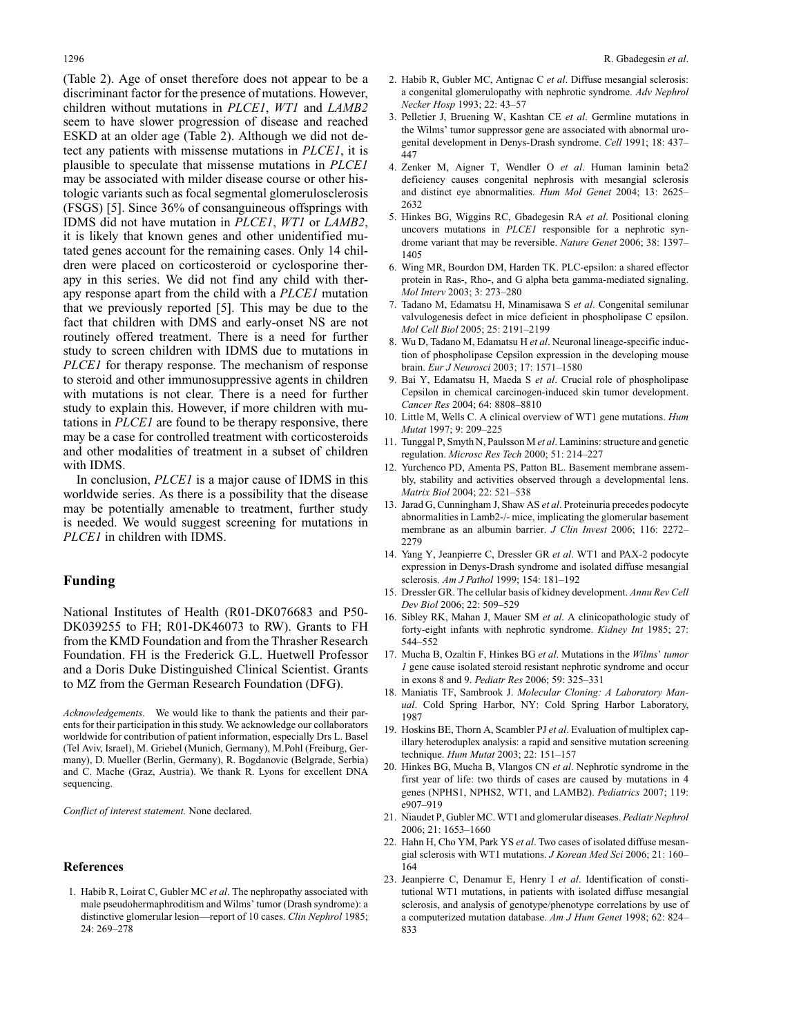(Table 2). Age of onset therefore does not appear to be a discriminant factor for the presence of mutations. However, children without mutations in *PLCE1*, *WT1* and *LAMB2* seem to have slower progression of disease and reached ESKD at an older age (Table 2). Although we did not detect any patients with missense mutations in *PLCE1*, it is plausible to speculate that missense mutations in *PLCE1* may be associated with milder disease course or other histologic variants such as focal segmental glomerulosclerosis (FSGS) [5]. Since 36% of consanguineous offsprings with IDMS did not have mutation in *PLCE1*, *WT1* or *LAMB2*, it is likely that known genes and other unidentified mutated genes account for the remaining cases. Only 14 children were placed on corticosteroid or cyclosporine therapy in this series. We did not find any child with therapy response apart from the child with a *PLCE1* mutation that we previously reported [5]. This may be due to the fact that children with DMS and early-onset NS are not routinely offered treatment. There is a need for further study to screen children with IDMS due to mutations in *PLCE1* for therapy response. The mechanism of response to steroid and other immunosuppressive agents in children with mutations is not clear. There is a need for further study to explain this. However, if more children with mutations in *PLCE1* are found to be therapy responsive, there may be a case for controlled treatment with corticosteroids and other modalities of treatment in a subset of children with IDMS.

In conclusion, *PLCE1* is a major cause of IDMS in this worldwide series. As there is a possibility that the disease may be potentially amenable to treatment, further study is needed. We would suggest screening for mutations in *PLCE1* in children with IDMS.

# **Funding**

National Institutes of Health (R01-DK076683 and P50- DK039255 to FH; R01-DK46073 to RW). Grants to FH from the KMD Foundation and from the Thrasher Research Foundation. FH is the Frederick G.L. Huetwell Professor and a Doris Duke Distinguished Clinical Scientist. Grants to MZ from the German Research Foundation (DFG).

*Acknowledgements.* We would like to thank the patients and their parents for their participation in this study. We acknowledge our collaborators worldwide for contribution of patient information, especially Drs L. Basel (Tel Aviv, Israel), M. Griebel (Munich, Germany), M.Pohl (Freiburg, Germany), D. Mueller (Berlin, Germany), R. Bogdanovic (Belgrade, Serbia) and C. Mache (Graz, Austria). We thank R. Lyons for excellent DNA sequencing.

*Conflict of interest statement.* None declared.

#### **References**

1. Habib R, Loirat C, Gubler MC *et al*. The nephropathy associated with male pseudohermaphroditism and Wilms' tumor (Drash syndrome): a distinctive glomerular lesion—report of 10 cases. *Clin Nephrol* 1985; 24: 269–278

- 2. Habib R, Gubler MC, Antignac C *et al*. Diffuse mesangial sclerosis: a congenital glomerulopathy with nephrotic syndrome. *Adv Nephrol Necker Hosp* 1993; 22: 43–57
- 3. Pelletier J, Bruening W, Kashtan CE *et al*. Germline mutations in the Wilms' tumor suppressor gene are associated with abnormal urogenital development in Denys-Drash syndrome. *Cell* 1991; 18: 437– 447
- 4. Zenker M, Aigner T, Wendler O *et al*. Human laminin beta2 deficiency causes congenital nephrosis with mesangial sclerosis and distinct eye abnormalities. *Hum Mol Genet* 2004; 13: 2625– 2632
- 5. Hinkes BG, Wiggins RC, Gbadegesin RA *et al*. Positional cloning uncovers mutations in *PLCE1* responsible for a nephrotic syndrome variant that may be reversible. *Nature Genet* 2006; 38: 1397– 1405
- 6. Wing MR, Bourdon DM, Harden TK. PLC-epsilon: a shared effector protein in Ras-, Rho-, and G alpha beta gamma-mediated signaling. *Mol Interv* 2003; 3: 273–280
- 7. Tadano M, Edamatsu H, Minamisawa S *et al*. Congenital semilunar valvulogenesis defect in mice deficient in phospholipase C epsilon. *Mol Cell Biol* 2005; 25: 2191–2199
- 8. Wu D, Tadano M, Edamatsu H *et al*. Neuronal lineage-specific induction of phospholipase Cepsilon expression in the developing mouse brain. *Eur J Neurosci* 2003; 17: 1571–1580
- 9. Bai Y, Edamatsu H, Maeda S *et al*. Crucial role of phospholipase Cepsilon in chemical carcinogen-induced skin tumor development. *Cancer Res* 2004; 64: 8808–8810
- 10. Little M, Wells C. A clinical overview of WT1 gene mutations. *Hum Mutat* 1997; 9: 209–225
- 11. Tunggal P, Smyth N, Paulsson M *et al*. Laminins: structure and genetic regulation. *Microsc Res Tech* 2000; 51: 214–227
- 12. Yurchenco PD, Amenta PS, Patton BL. Basement membrane assembly, stability and activities observed through a developmental lens. *Matrix Biol* 2004; 22: 521–538
- 13. Jarad G, Cunningham J, Shaw AS *et al*. Proteinuria precedes podocyte abnormalities in Lamb2-/- mice, implicating the glomerular basement membrane as an albumin barrier. *J Clin Invest* 2006; 116: 2272– 2279
- 14. Yang Y, Jeanpierre C, Dressler GR *et al*. WT1 and PAX-2 podocyte expression in Denys-Drash syndrome and isolated diffuse mesangial sclerosis. *Am J Pathol* 1999; 154: 181–192
- 15. Dressler GR. The cellular basis of kidney development. *Annu Rev Cell Dev Biol* 2006; 22: 509–529
- 16. Sibley RK, Mahan J, Mauer SM *et al*. A clinicopathologic study of forty-eight infants with nephrotic syndrome. *Kidney Int* 1985; 27: 544–552
- 17. Mucha B, Ozaltin F, Hinkes BG *et al*. Mutations in the *Wilms*' *tumor 1* gene cause isolated steroid resistant nephrotic syndrome and occur in exons 8 and 9. *Pediatr Res* 2006; 59: 325–331
- 18. Maniatis TF, Sambrook J. *Molecular Cloning: A Laboratory Manual*. Cold Spring Harbor, NY: Cold Spring Harbor Laboratory, 1987
- 19. Hoskins BE, Thorn A, Scambler PJ *et al*. Evaluation of multiplex capillary heteroduplex analysis: a rapid and sensitive mutation screening technique. *Hum Mutat* 2003; 22: 151–157
- 20. Hinkes BG, Mucha B, Vlangos CN *et al*. Nephrotic syndrome in the first year of life: two thirds of cases are caused by mutations in 4 genes (NPHS1, NPHS2, WT1, and LAMB2). *Pediatrics* 2007; 119: e907–919
- 21. Niaudet P, Gubler MC. WT1 and glomerular diseases. *Pediatr Nephrol* 2006; 21: 1653–1660
- 22. Hahn H, Cho YM, Park YS *et al*. Two cases of isolated diffuse mesangial sclerosis with WT1 mutations. *J Korean Med Sci* 2006; 21: 160– 164
- 23. Jeanpierre C, Denamur E, Henry I *et al*. Identification of constitutional WT1 mutations, in patients with isolated diffuse mesangial sclerosis, and analysis of genotype/phenotype correlations by use of a computerized mutation database. *Am J Hum Genet* 1998; 62: 824– 833